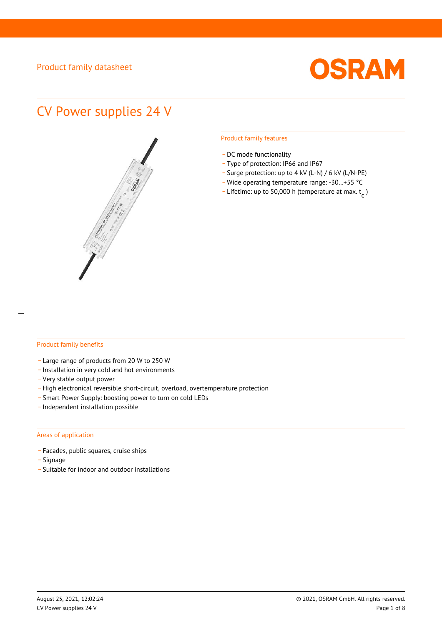

# CV Power supplies 24 V



#### Product family features

- DC mode functionality
- \_ Type of protection: IP66 and IP67
- \_ Surge protection: up to 4 kV (L-N) / 6 kV (L/N-PE)
- Wide operating temperature range: -30...+55 °C
- Lifetime: up to 50,000 h (temperature at max.  $t_c$ )

#### Product family benefits

- \_ Large range of products from 20 W to 250 W
- \_ Installation in very cold and hot environments
- \_ Very stable output power
- High electronical reversible short-circuit, overload, overtemperature protection
- \_ Smart Power Supply: boosting power to turn on cold LEDs
- \_ Independent installation possible

#### Areas of application

- \_ Facades, public squares, cruise ships
- \_ Signage
- \_ Suitable for indoor and outdoor installations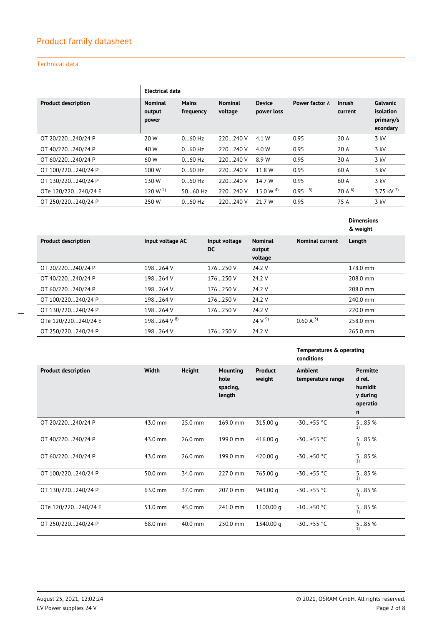#### Technical data

|                            |                                   | <b>Electrical data</b>    |                           |                             |                        |                          |                                                |
|----------------------------|-----------------------------------|---------------------------|---------------------------|-----------------------------|------------------------|--------------------------|------------------------------------------------|
| <b>Product description</b> | <b>Nominal</b><br>output<br>power | <b>Mains</b><br>frequency | <b>Nominal</b><br>voltage | <b>Device</b><br>power loss | Power factor $\lambda$ | <b>Inrush</b><br>current | Galvanic<br>isolation<br>primary/s<br>econdary |
| OT 20/220240/24 P          | 20 W                              | $060$ Hz                  | 220240 V                  | 4.1 W                       | 0.95                   | 20 A                     | $3$ kV                                         |
| OT 40/220240/24 P          | 40 W                              | $060$ Hz                  | 220240 V                  | 4.0 W                       | 0.95                   | 20 A                     | 3 kV                                           |
| OT 60/220240/24 P          | 60 W                              | $060$ Hz                  | 220240 V                  | 8.9 W                       | 0.95                   | 30 A                     | 3 kV                                           |
| OT 100/220240/24 P         | 100 W                             | $060$ Hz                  | 220240 V                  | 11.8 W                      | 0.95                   | 60 A                     | 3 kV                                           |
| OT 130/220240/24 P         | 130 W                             | $060$ Hz                  | 220240 V                  | 14.7 W                      | 0.95                   | 60 A                     | 3 kV                                           |
| OTe 120/220240/24 E        | 120 W $^{2}$                      | 5060 Hz                   | 220240 V                  | 15.0 W $^{4)}$              | 5)<br>0.95             | 70 A $^{6)}$             | 3.75 kV $^{7}$                                 |
| OT 250/220240/24 P         | 250W                              | $060$ Hz                  | 220240 V                  | 21.7 W                      | 0.95                   | 75 A                     | $3$ kV                                         |

|                            |                         |                            |                                     |                        | <b>Dimensions</b><br>& weight |
|----------------------------|-------------------------|----------------------------|-------------------------------------|------------------------|-------------------------------|
| <b>Product description</b> | Input voltage AC        | Input voltage<br><b>DC</b> | <b>Nominal</b><br>output<br>voltage | <b>Nominal current</b> | Length                        |
| OT 20/220240/24 P          | 198264 V                | 176250 V                   | 24.2 V                              |                        | 178.0 mm                      |
| OT 40/220240/24 P          | 198264 V                | 176250 V                   | 24.2 V                              |                        | 208.0 mm                      |
| OT 60/220240/24 P          | 198264 V                | $176250$ V                 | 24.2 V                              |                        | 208.0 mm                      |
| OT 100/220240/24 P         | 198264 V                | 176.250 V                  | 24.2 V                              |                        | 240.0 mm                      |
| OT 130/220240/24 P         | 198264 V                | 176250 V                   | 24.2 V                              |                        | $220.0 \text{ mm}$            |
| OTe 120/220240/24 E        | $198264$ V <sup>8</sup> |                            | 24 V <sup>9</sup>                   | $0.60 A^{3}$           | 258.0 mm                      |
| OT 250/220240/24 P         | 198264 V                | $176250$ V                 | 24.2 V                              |                        | 265.0 mm                      |

|                            |         |         |                                               |                   | Temperatures & operating<br>conditions |                                                                              |
|----------------------------|---------|---------|-----------------------------------------------|-------------------|----------------------------------------|------------------------------------------------------------------------------|
| <b>Product description</b> | Width   | Height  | <b>Mounting</b><br>hole<br>spacing,<br>length | Product<br>weight | <b>Ambient</b><br>temperature range    | <b>Permitte</b><br>d rel.<br>humidit<br>y during<br>operatio<br>$\mathsf{n}$ |
| OT 20/220240/24 P          | 43.0 mm | 25.0 mm | 169.0 mm                                      | 315.00 g          | $-30+55$ °C                            | 585 %<br>1)                                                                  |
| OT 40/220240/24 P          | 43.0 mm | 26.0 mm | 199.0 mm                                      | 416.00 g          | $-30+55$ °C                            | 585%<br>1)                                                                   |
| OT 60/220240/24 P          | 43.0 mm | 26.0 mm | 199.0 mm                                      | 420.00 g          | $-30+50$ °C                            | 585 %<br>1)                                                                  |
| OT 100/220240/24 P         | 50.0 mm | 34.0 mm | 227.0 mm                                      | 765.00 q          | $-30+55$ °C                            | 585 %<br>1)                                                                  |
| OT 130/220240/24 P         | 63.0 mm | 37.0 mm | $207.0 \text{ mm}$                            | 943.00 g          | $-30+55$ °C                            | 585 %<br>1)                                                                  |
| OTe 120/220240/24 E        | 51.0 mm | 45.0 mm | 241.0 mm                                      | 1100.00 g         | $-10+50$ °C                            | 585 %<br>1)                                                                  |
| OT 250/220240/24 P         | 68.0 mm | 40.0 mm | 250.0 mm                                      | 1340.00 g         | $-30+55$ °C                            | 585 %<br>1)                                                                  |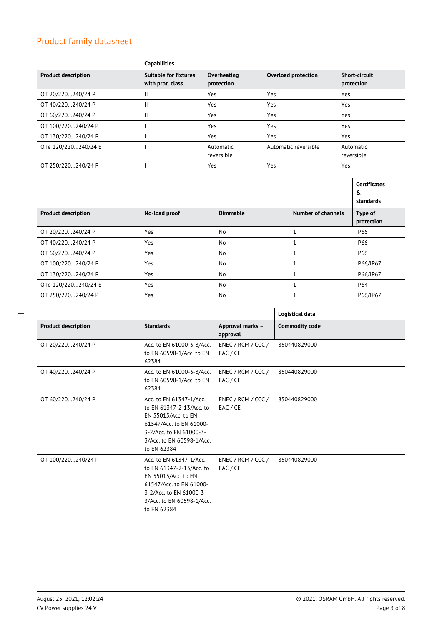|                            | <b>Capabilities</b>                              |                           |                            |                                    |
|----------------------------|--------------------------------------------------|---------------------------|----------------------------|------------------------------------|
| <b>Product description</b> | <b>Suitable for fixtures</b><br>with prot. class | Overheating<br>protection | <b>Overload protection</b> | <b>Short-circuit</b><br>protection |
| OT 20/220240/24 P          | Ш                                                | <b>Yes</b>                | Yes                        | Yes                                |
| OT 40/220240/24 P          | Ш                                                | <b>Yes</b>                | Yes                        | Yes                                |
| OT 60/220240/24 P          | Ш                                                | <b>Yes</b>                | Yes                        | Yes                                |
| OT 100/220240/24 P         |                                                  | Yes                       | Yes                        | Yes                                |
| OT 130/220240/24 P         |                                                  | <b>Yes</b>                | Yes                        | Yes                                |
| OTe 120/220240/24 E        |                                                  | Automatic<br>reversible   | Automatic reversible       | Automatic<br>reversible            |
| OT 250/220240/24 P         |                                                  | Yes                       | Yes                        | Yes                                |

|                            |               |                 |                    | <b>Certificates</b><br>&<br>standards |
|----------------------------|---------------|-----------------|--------------------|---------------------------------------|
| <b>Product description</b> | No-load proof | <b>Dimmable</b> | Number of channels | Type of<br>protection                 |
| OT 20/220240/24 P          | Yes           | No              |                    | <b>IP66</b>                           |
| OT 40/220240/24 P          | Yes           | <b>No</b>       | $\mathbf{1}$       | <b>IP66</b>                           |
| OT 60/220240/24 P          | Yes           | No              |                    | <b>IP66</b>                           |
| OT 100/220240/24 P         | Yes           | <b>No</b>       |                    | IP66/IP67                             |
| OT 130/220240/24 P         | Yes           | No              |                    | IP66/IP67                             |
| OTe 120/220240/24 E        | Yes           | No              |                    | IP64                                  |
| OT 250/220240/24 P         | Yes           | <b>No</b>       | $\mathbf{1}$       | IP66/IP67                             |

|                            |                                                                                                                                                                              |                                | Logistical data       |
|----------------------------|------------------------------------------------------------------------------------------------------------------------------------------------------------------------------|--------------------------------|-----------------------|
| <b>Product description</b> | <b>Standards</b>                                                                                                                                                             | Approval marks -<br>approval   | <b>Commodity code</b> |
| OT 20/220240/24 P          | Acc. to EN 61000-3-3/Acc.<br>to EN 60598-1/Acc. to EN<br>62384                                                                                                               | ENEC / RCM / CCC /<br>EAC / CE | 850440829000          |
| OT 40/220240/24 P          | Acc. to EN 61000-3-3/Acc.<br>to EN 60598-1/Acc. to EN<br>62384                                                                                                               | ENEC / RCM / CCC /<br>EAC / CE | 850440829000          |
| OT 60/220240/24 P          | Acc. to EN 61347-1/Acc.<br>to EN 61347-2-13/Acc. to<br>EN 55015/Acc. to EN<br>61547/Acc. to EN 61000-<br>3-2/Acc. to EN 61000-3-<br>3/Acc. to EN 60598-1/Acc.<br>to EN 62384 | ENEC / RCM / CCC /<br>EAC / CE | 850440829000          |
| OT 100/220240/24 P         | Acc. to EN 61347-1/Acc.<br>to EN 61347-2-13/Acc. to<br>EN 55015/Acc. to EN<br>61547/Acc. to EN 61000-<br>3-2/Acc. to EN 61000-3-<br>3/Acc. to EN 60598-1/Acc.<br>to EN 62384 | ENEC / RCM / CCC /<br>EAC / CE | 850440829000          |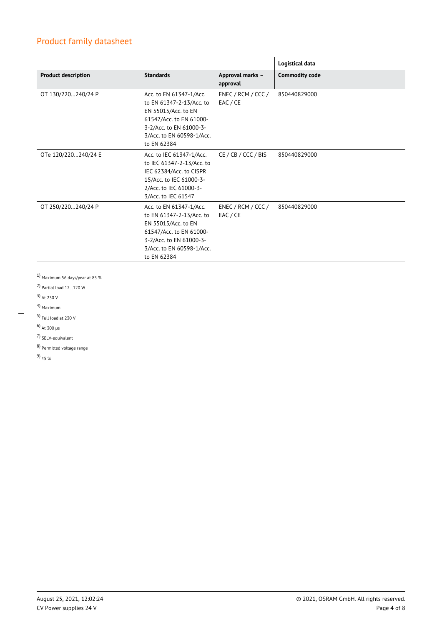|                            |                                                                                                                                                                              |                                | Logistical data       |
|----------------------------|------------------------------------------------------------------------------------------------------------------------------------------------------------------------------|--------------------------------|-----------------------|
| <b>Product description</b> | <b>Standards</b>                                                                                                                                                             | Approval marks -<br>approval   | <b>Commodity code</b> |
| OT 130/220240/24 P         | Acc. to EN 61347-1/Acc.<br>to EN 61347-2-13/Acc. to<br>EN 55015/Acc. to EN<br>61547/Acc. to EN 61000-<br>3-2/Acc. to EN 61000-3-<br>3/Acc. to EN 60598-1/Acc.<br>to EN 62384 | ENEC / RCM / CCC /<br>EAC / CE | 850440829000          |
| OTe 120/220240/24 E        | Acc. to IEC 61347-1/Acc.<br>to IEC 61347-2-13/Acc. to<br>IEC 62384/Acc. to CISPR<br>15/Acc. to IEC 61000-3-<br>2/Acc. to IEC 61000-3-<br>3/Acc. to IEC 61547                 | CE/CB/CCC/BIS                  | 850440829000          |
| OT 250/220240/24 P         | Acc. to EN 61347-1/Acc.<br>to EN 61347-2-13/Acc. to<br>EN 55015/Acc. to EN<br>61547/Acc. to EN 61000-<br>3-2/Acc. to EN 61000-3-<br>3/Acc. to EN 60598-1/Acc.<br>to EN 62384 | ENEC / RCM / CCC /<br>EAC / CE | 850440829000          |

 $^{1}$  Maximum 56 days/year at 85  $\%$ 

2) Partial load 12…120 W

3) At 230 V

4) Maximum

 $\overline{\phantom{a}}$ 

5) Full load at 230 V

6) At 300 µs

7) SELV-equivalent

8) Permitted voltage range

9)  $_{\pm 5}$  %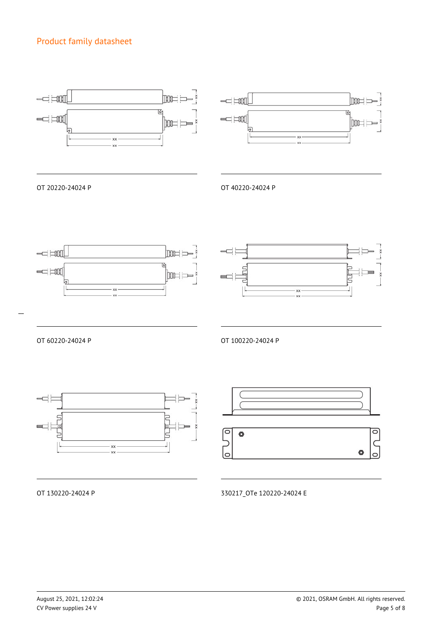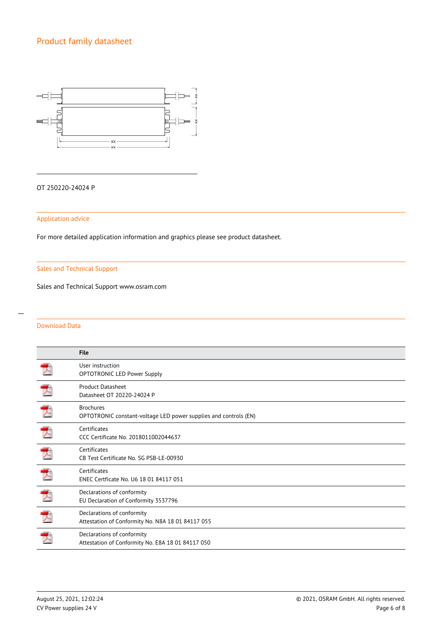

#### OT 250220-24024 P

#### Application advice

For more detailed application information and graphics please see product datasheet.

#### Sales and Technical Support

Sales and Technical Support www.osram.com

#### Download Data

|                          | <b>File</b>                                                                          |
|--------------------------|--------------------------------------------------------------------------------------|
|                          | User instruction<br><b>OPTOTRONIC LED Power Supply</b>                               |
| 天                        | <b>Product Datasheet</b><br>Datasheet OT 20220-24024 P                               |
| 天                        | <b>Brochures</b><br>OPTOTRONIC constant-voltage LED power supplies and controls (EN) |
| $\overline{\mathcal{F}}$ | Certificates<br>CCC Certificate No. 2018011002044637                                 |
| 天                        | Certificates<br>CB Test Certificate No. SG PSB-LE-00930                              |
| 囚                        | Certificates<br>ENEC Certficate No. U6 18 01 84117 051                               |
|                          | Declarations of conformity<br>EU Declaration of Conformity 3537796                   |
|                          | Declarations of conformity<br>Attestation of Conformity No. N8A 18 01 84117 055      |
|                          | Declarations of conformity<br>Attestation of Conformity No. E8A 18 01 84117 050      |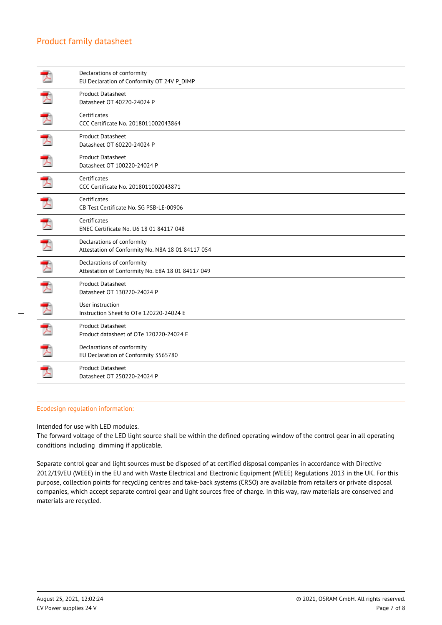|                  | Declarations of conformity<br>EU Declaration of Conformity OT 24V P_DIMP        |
|------------------|---------------------------------------------------------------------------------|
|                  | <b>Product Datasheet</b><br>Datasheet OT 40220-24024 P                          |
|                  | Certificates<br>CCC Certificate No. 2018011002043864                            |
| プ                | Product Datasheet<br>Datasheet OT 60220-24024 P                                 |
|                  | <b>Product Datasheet</b><br>Datasheet OT 100220-24024 P                         |
| ᆋ                | Certificates<br>CCC Certificate No. 2018011002043871                            |
|                  | Certificates<br>CB Test Certificate No. SG PSB-LE-00906                         |
| プ                | Certificates<br>ENEC Certificate No. U6 18 01 84117 048                         |
|                  | Declarations of conformity<br>Attestation of Conformity No. N8A 18 01 84117 054 |
| プ                | Declarations of conformity<br>Attestation of Conformity No. E8A 18 01 84117 049 |
|                  | <b>Product Datasheet</b><br>Datasheet OT 130220-24024 P                         |
| $\blacktriangle$ | User instruction<br>Instruction Sheet fo OTe 120220-24024 E                     |
| プ                | <b>Product Datasheet</b><br>Product datasheet of OTe 120220-24024 E             |
|                  | Declarations of conformity<br>EU Declaration of Conformity 3565780              |
|                  | Product Datasheet<br>Datasheet OT 250220-24024 P                                |
|                  |                                                                                 |

#### Ecodesign regulation information:

Intended for use with LED modules.

The forward voltage of the LED light source shall be within the defined operating window of the control gear in all operating conditions including dimming if applicable.

Separate control gear and light sources must be disposed of at certified disposal companies in accordance with Directive 2012/19/EU (WEEE) in the EU and with Waste Electrical and Electronic Equipment (WEEE) Regulations 2013 in the UK. For this purpose, collection points for recycling centres and take-back systems (CRSO) are available from retailers or private disposal companies, which accept separate control gear and light sources free of charge. In this way, raw materials are conserved and materials are recycled.